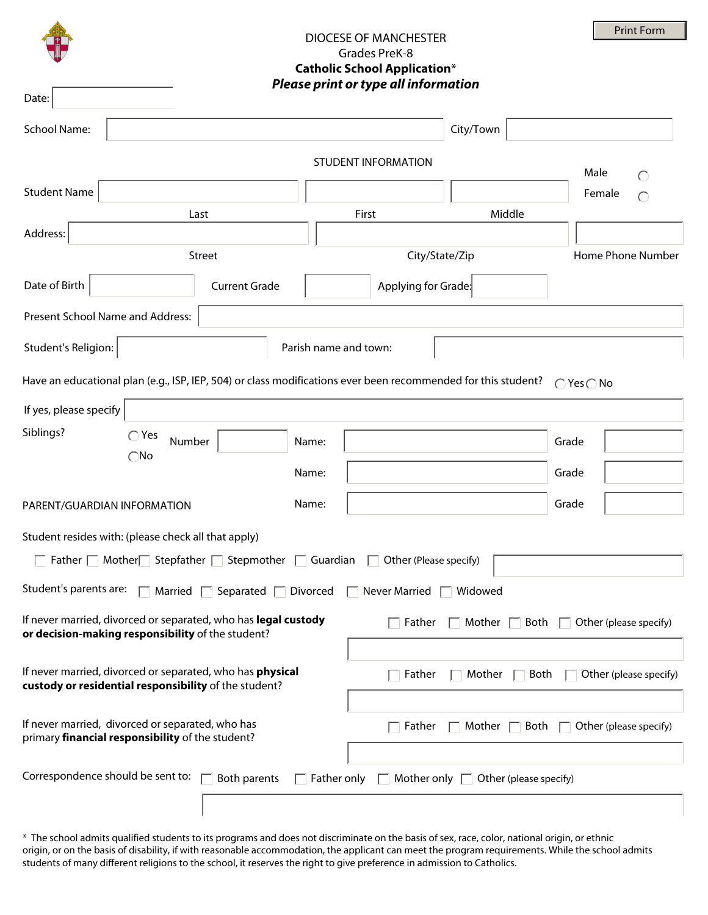|                                                                                                                                                               |                      |                                                                             | DIOCESE OF MANCHESTER<br>Grades PreK-8<br><b>Catholic School Application*</b><br>Please print or type all information |           |  |        | <b>Print Form</b> |  |
|---------------------------------------------------------------------------------------------------------------------------------------------------------------|----------------------|-----------------------------------------------------------------------------|-----------------------------------------------------------------------------------------------------------------------|-----------|--|--------|-------------------|--|
| Date:                                                                                                                                                         |                      |                                                                             |                                                                                                                       |           |  |        |                   |  |
| <b>School Name:</b>                                                                                                                                           |                      |                                                                             |                                                                                                                       | City/Town |  |        |                   |  |
| <b>STUDENT INFORMATION</b><br>Male                                                                                                                            |                      |                                                                             |                                                                                                                       |           |  |        |                   |  |
| <b>Student Name</b>                                                                                                                                           |                      |                                                                             |                                                                                                                       |           |  | Female |                   |  |
| Last                                                                                                                                                          |                      |                                                                             | Middle<br>First                                                                                                       |           |  |        |                   |  |
| Address:<br>Street                                                                                                                                            |                      |                                                                             | City/State/Zip                                                                                                        |           |  |        | Home Phone Number |  |
| Date of Birth                                                                                                                                                 | <b>Current Grade</b> |                                                                             | Applying for Grade:                                                                                                   |           |  |        |                   |  |
| Present School Name and Address:                                                                                                                              |                      |                                                                             |                                                                                                                       |           |  |        |                   |  |
| Student's Religion:                                                                                                                                           |                      | Parish name and town:                                                       |                                                                                                                       |           |  |        |                   |  |
|                                                                                                                                                               |                      |                                                                             |                                                                                                                       |           |  |        |                   |  |
| Have an educational plan (e.g., ISP, IEP, 504) or class modifications ever been recommended for this student?<br>$\bigcap$ Yes $\bigcap$ No                   |                      |                                                                             |                                                                                                                       |           |  |        |                   |  |
| If yes, please specify                                                                                                                                        |                      |                                                                             |                                                                                                                       |           |  |        |                   |  |
| Siblings?<br>$\bigcirc$ Yes<br>Number                                                                                                                         |                      | Name:                                                                       |                                                                                                                       |           |  | Grade  |                   |  |
| $\bigcirc$ No                                                                                                                                                 |                      | Name:                                                                       |                                                                                                                       |           |  | Grade  |                   |  |
| PARENT/GUARDIAN INFORMATION                                                                                                                                   |                      | Name:                                                                       |                                                                                                                       |           |  | Grade  |                   |  |
|                                                                                                                                                               |                      |                                                                             |                                                                                                                       |           |  |        |                   |  |
| Student resides with: (please check all that apply)<br>$\Box$ Father $\Box$ Mother Stepfather $\Box$ Stepmother $\Box$ Guardian $\Box$ Other (Please specify) |                      |                                                                             |                                                                                                                       |           |  |        |                   |  |
|                                                                                                                                                               |                      |                                                                             |                                                                                                                       |           |  |        |                   |  |
| Student's parents are: $\Box$ Married $\Box$ Separated $\Box$ Divorced $\Box$ Never Married $\Box$ Widowed                                                    |                      |                                                                             |                                                                                                                       |           |  |        |                   |  |
| If never married, divorced or separated, who has legal custody<br>or decision-making responsibility of the student?                                           |                      | $\Box$ Father<br>$\Box$ Mother $\Box$ Both $\Box$ Other (please specify)    |                                                                                                                       |           |  |        |                   |  |
| If never married, divorced or separated, who has <b>physical</b><br>Father<br>Both<br>$\Box$ Other (please specify)<br>Mother $\Box$                          |                      |                                                                             |                                                                                                                       |           |  |        |                   |  |
| custody or residential responsibility of the student?                                                                                                         |                      |                                                                             |                                                                                                                       |           |  |        |                   |  |
| If never married, divorced or separated, who has<br>primary financial responsibility of the student?                                                          |                      | $\top$ Father<br>$\Box$ Mother $\Box$ Both<br>$\Box$ Other (please specify) |                                                                                                                       |           |  |        |                   |  |
|                                                                                                                                                               |                      |                                                                             |                                                                                                                       |           |  |        |                   |  |
| Correspondence should be sent to:<br>Both parents<br>Father only<br>Mother only $\Box$ Other (please specify)                                                 |                      |                                                                             |                                                                                                                       |           |  |        |                   |  |
|                                                                                                                                                               |                      |                                                                             |                                                                                                                       |           |  |        |                   |  |

\* The school admits qualified students to its programs and does not discriminate on the basis of sex, race, color, national origin, or ethnic origin, or on the basis of disability, if with reasonable accommodation, the applicant can meet the program requirements. While the school admits students of many different religions to the school, it reserves the right to give preference in admission to Catholics.